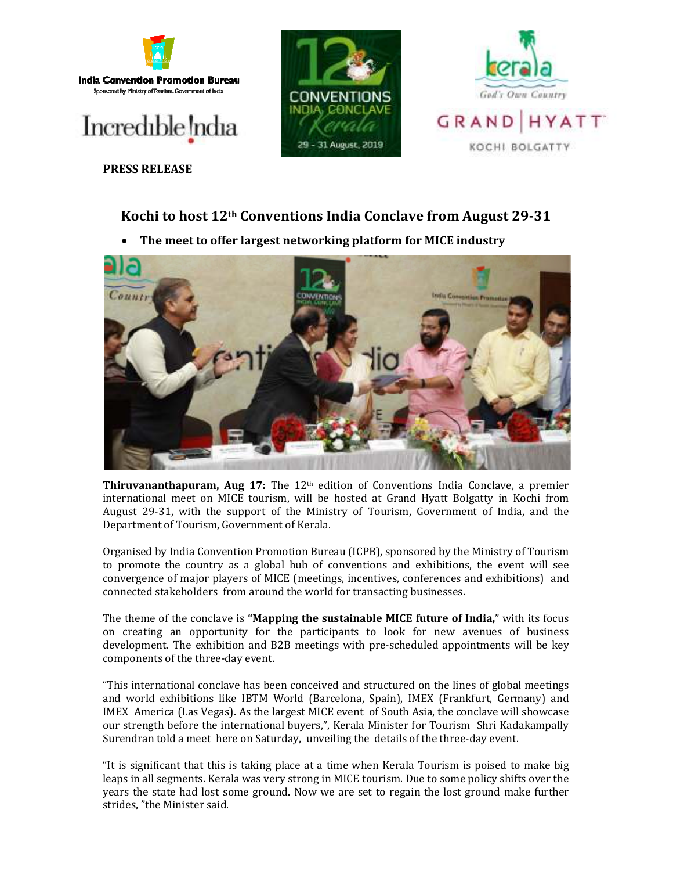





**PRESS RELEASE**

## **Kochi to host 12th Conventions India Conclave from August 29**

**• The meet to offer largest networking platform for MICE industry** 



**Thiruvananthapuram, Aug 17:** The 12<sup>th</sup> edition of Conventions India Conclave, a premier international meet on MICE tourism, will be hosted at Grand Hyatt Bolgatty in Kochi from August 29-31, with the support of the Ministry of Tourism, Government of India, and Department of Tourism, Government of Kerala. The 12<sup>th</sup> edition of Conventions India Conclave, a premier<br>ism, will be hosted at Grand Hyatt Bolgatty in Kochi from<br>of the Ministry of Tourism, Government of India, and the

Organised by India Convention Promotion Bureau (ICPB), sponsored by the Ministry of Tourism August 29-31, with the support of the Ministry of Tourism, Government of India, and the<br>Department of Tourism, Government of Kerala.<br>Organised by India Convention Promotion Bureau (ICPB), sponsored by the Ministry of Touri convergence of major players of MICE (meetings, incentives, conferences and exhibitions) and connected stakeholders from around the world for transacting businesses.

The theme of the conclave is **"Mapping the sustainable MICE future of India,** " with its focus on creating an opportunity for the participants to look for new avenues of business development. The exhibition and B2B meetings with pre-scheduled appointments will be key components of the three-day event. Organised by India Convention Promotion Bureau (ICPB), sponsored by the Ministry of Tourism<br>to promote the country as a global hub of conventions and exhibitions, the event will see<br>convergence of major players of MICE (me

"This international conclave has been conceived and structured on the lines of global and world exhibitions like IBTM World (Barcelona, Spain), IMEX (Frankfurt, Germany) and IMEX America (Las Vegas). As the largest MICE event of South Asia, the conclave will showcase our strength before the international buyers,", Kerala Minister for Tourism Shri Kadakampally our strength before the international buyers,", Kerala Minister for Tourism Shri Kada<br>Surendran told a meet here on Saturday, unveiling the details of the three-day event.

"It is significant that this is taking place at a time when Kerala Tourism is poised to make big "It is significant that this is taking place at a time when Kerala Tourism is poised to make big<br>leaps in all segments. Kerala was very strong in MICE tourism. Due to some policy shifts over the "It is significant that this is taking place at a time when Kerala Tourism is poised to make big<br>leaps in all segments. Kerala was very strong in MICE tourism. Due to some policy shifts over the<br>years the state had lost so strides, "the Minister said.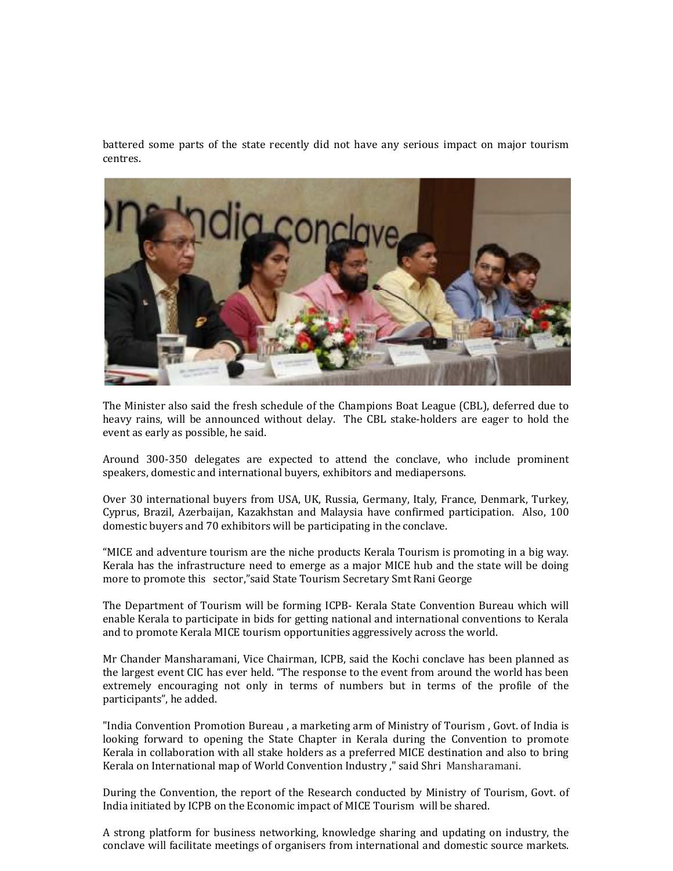battered some parts of the state recently did not have any serious impact on major tourism centres.



The Minister also said the fresh schedule of the Champions Boat League (CBL), deferred due to heavy rains, will be announced without delay. The CBL stake-holders are eager to hold the event as early as possible, he said.

Around 300-350 delegates are expected to attend the conclave, who include prominent speakers, domestic and international buyers, exhibitors and mediapersons.

Over 30 international buyers from USA, UK, Russia, Germany, Italy, France, Denmark, Turkey, Cyprus, Brazil, Azerbaijan, Kazakhstan and Malaysia have confirmed participation. Also, 100 domestic buyers and 70 exhibitors will be participating in the conclave.

"MICE and adventure tourism are the niche products Kerala Tourism is promoting in a big way. Kerala has the infrastructure need to emerge as a major MICE hub and the state will be doing more to promote this sector,"said State Tourism Secretary Smt Rani George

The Department of Tourism will be forming ICPB- Kerala State Convention Bureau which will enable Kerala to participate in bids for getting national and international conventions to Kerala and to promote Kerala MICE tourism opportunities aggressively across the world.

Mr Chander Mansharamani, Vice Chairman, ICPB, said the Kochi conclave has been planned as the largest event CIC has ever held. "The response to the event from around the world has been extremely encouraging not only in terms of numbers but in terms of the profile of the participants", he added.

"India Convention Promotion Bureau , a marketing arm of Ministry of Tourism , Govt. of India is looking forward to opening the State Chapter in Kerala during the Convention to promote Kerala in collaboration with all stake holders as a preferred MICE destination and also to bring Kerala on International map of World Convention Industry ," said Shri Mansharamani.

During the Convention, the report of the Research conducted by Ministry of Tourism, Govt. of India initiated by ICPB on the Economic impact of MICE Tourism will be shared.

A strong platform for business networking, knowledge sharing and updating on industry, the conclave will facilitate meetings of organisers from international and domestic source markets.